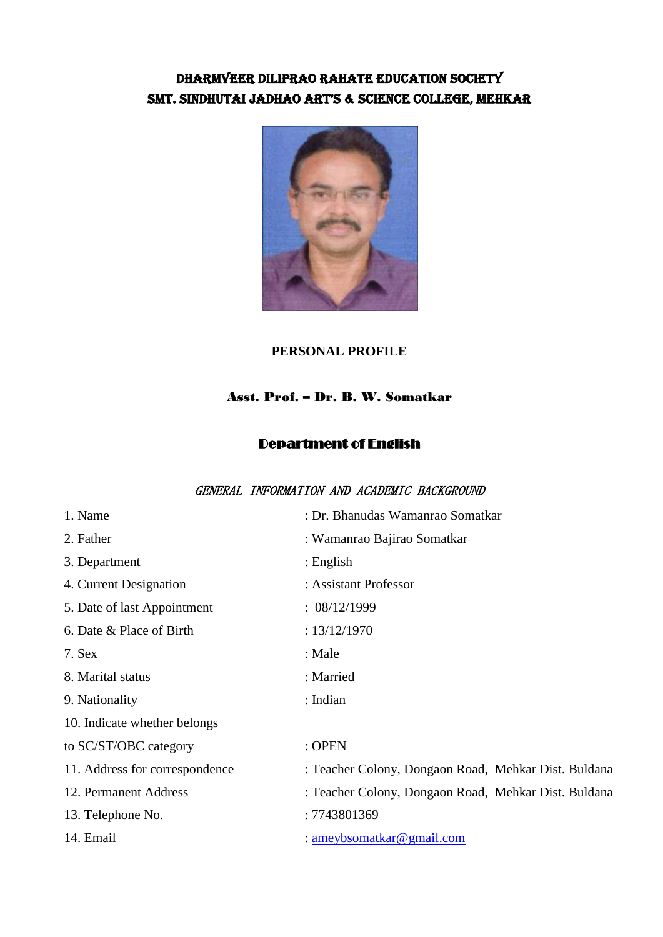## DHARMVEER DILIPRAO RAHATE EDUCATION SOCIETY SMT. SINDHUTAI JADHAO ART'S & SCIENCE COLLEGE, MEHKAR



#### **PERSONAL PROFILE**

### Asst. Prof. – Dr. B. W. Somatkar

#### Department of English

#### GENERAL INFORMATION AND ACADEMIC BACKGROUND

| 1. Name                        | : Dr. Bhanudas Wamanrao Somatkar                     |
|--------------------------------|------------------------------------------------------|
| 2. Father                      | : Wamanrao Bajirao Somatkar                          |
| 3. Department                  | : English                                            |
| 4. Current Designation         | : Assistant Professor                                |
| 5. Date of last Appointment    | : 08/12/1999                                         |
| 6. Date & Place of Birth       | : $13/12/1970$                                       |
| 7. Sex                         | : Male                                               |
| 8. Marital status              | : Married                                            |
| 9. Nationality                 | : Indian                                             |
| 10. Indicate whether belongs   |                                                      |
| to SC/ST/OBC category          | : OPEN                                               |
| 11. Address for correspondence | : Teacher Colony, Dongaon Road, Mehkar Dist. Buldana |
| 12. Permanent Address          | : Teacher Colony, Dongaon Road, Mehkar Dist. Buldana |
| 13. Telephone No.              | : 7743801369                                         |
| 14. Email                      | : ameybsomatkar@gmail.com                            |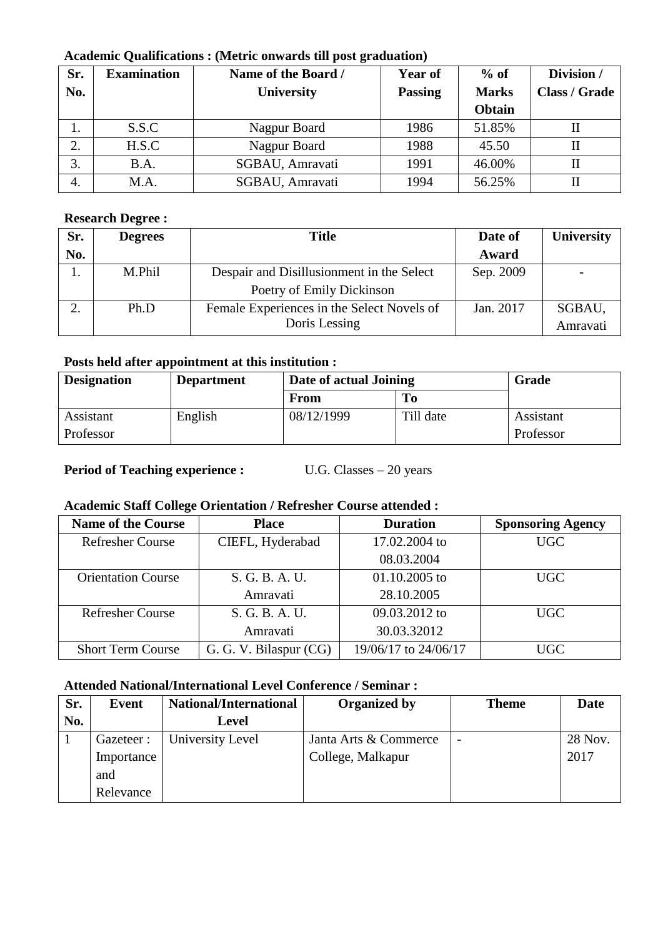#### **Academic Qualifications : (Metric onwards till post graduation)**

| Sr. | <b>Examination</b> | Name of the Board / | <b>Year of</b> | $%$ of       | Division /           |
|-----|--------------------|---------------------|----------------|--------------|----------------------|
| No. |                    | <b>University</b>   | <b>Passing</b> | <b>Marks</b> | <b>Class / Grade</b> |
|     |                    |                     |                | Obtain       |                      |
| .,  | S.S.C              | Nagpur Board        | 1986           | 51.85%       |                      |
| 2.  | H.S.C              | Nagpur Board        | 1988           | 45.50        |                      |
| 3.  | B.A.               | SGBAU, Amravati     | 1991           | 46.00%       |                      |
| 4.  | M.A.               | SGBAU, Amravati     | 1994           | 56.25%       |                      |

## **Research Degree :**

| Sr. | <b>Degrees</b> | <b>Title</b>                               | Date of   | <b>University</b> |
|-----|----------------|--------------------------------------------|-----------|-------------------|
| No. |                |                                            | Award     |                   |
|     | M.Phil         | Despair and Disillusionment in the Select  | Sep. 2009 |                   |
|     |                | Poetry of Emily Dickinson                  |           |                   |
|     | Ph.D           | Female Experiences in the Select Novels of | Jan. 2017 | SGBAU,            |
|     |                | Doris Lessing                              |           | Amravati          |

## **Posts held after appointment at this institution :**

| <b>Designation</b> | <b>Department</b> | Date of actual Joining |           | Grade     |
|--------------------|-------------------|------------------------|-----------|-----------|
|                    |                   | From                   | To        |           |
| Assistant          | English           | 08/12/1999             | Till date | Assistant |
| Professor          |                   |                        |           | Professor |

#### **Period of Teaching experience :** U.G. Classes – 20 years

### **Academic Staff College Orientation / Refresher Course attended :**

| <b>Name of the Course</b> | <b>Place</b>           | <b>Duration</b>      | <b>Sponsoring Agency</b> |
|---------------------------|------------------------|----------------------|--------------------------|
| <b>Refresher Course</b>   | CIEFL, Hyderabad       | 17.02.2004 to        | <b>UGC</b>               |
|                           |                        | 08.03.2004           |                          |
| <b>Orientation Course</b> | S. G. B. A. U.         | $01.10.2005$ to      | <b>UGC</b>               |
|                           | Amravati               | 28.10.2005           |                          |
| <b>Refresher Course</b>   | S. G. B. A. U.         | 09.03.2012 to        | UGC                      |
|                           | Amravati               | 30.03.32012          |                          |
| <b>Short Term Course</b>  | G. G. V. Bilaspur (CG) | 19/06/17 to 24/06/17 | UGC                      |

### **Attended National/International Level Conference / Seminar :**

| Sr. | Event      | National/International | <b>Organized by</b>   | <b>Theme</b>             | Date    |
|-----|------------|------------------------|-----------------------|--------------------------|---------|
| No. |            | <b>Level</b>           |                       |                          |         |
|     | Gazeteer:  | University Level       | Janta Arts & Commerce | $\overline{\phantom{a}}$ | 28 Nov. |
|     | Importance |                        | College, Malkapur     |                          | 2017    |
|     | and        |                        |                       |                          |         |
|     | Relevance  |                        |                       |                          |         |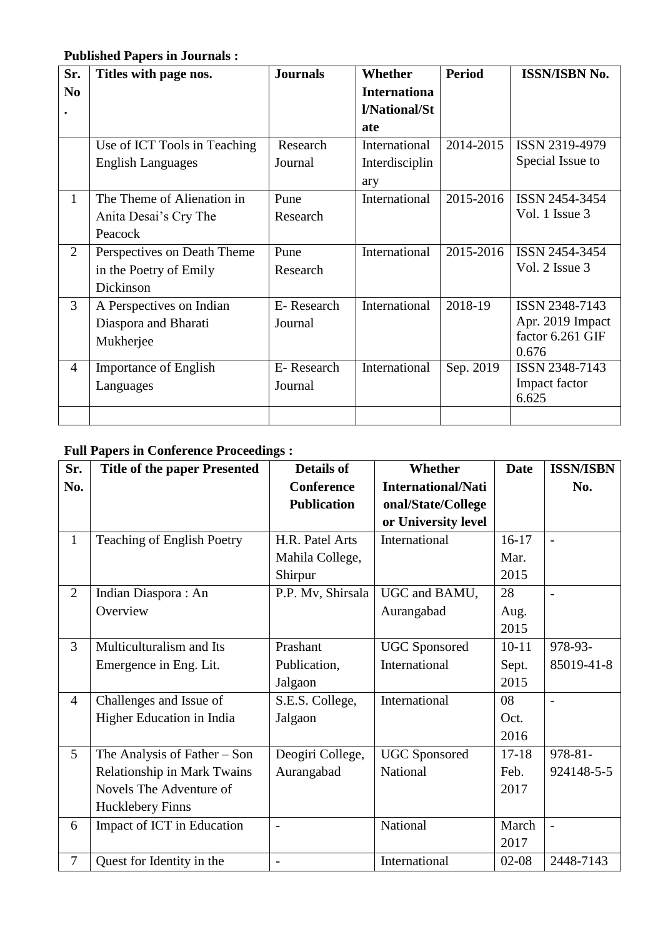## **Published Papers in Journals :**

| Sr.            | Titles with page nos.        | <b>Journals</b> | <b>Whether</b>      | <b>Period</b> | <b>ISSN/ISBN No.</b> |
|----------------|------------------------------|-----------------|---------------------|---------------|----------------------|
| N <sub>0</sub> |                              |                 | <b>Internationa</b> |               |                      |
| $\bullet$      |                              |                 | l/National/St       |               |                      |
|                |                              |                 | ate                 |               |                      |
|                | Use of ICT Tools in Teaching | Research        | International       | 2014-2015     | ISSN 2319-4979       |
|                | <b>English Languages</b>     | Journal         | Interdisciplin      |               | Special Issue to     |
|                |                              |                 | ary                 |               |                      |
| $\mathbf{1}$   | The Theme of Alienation in   | Pune            | International       | 2015-2016     | ISSN 2454-3454       |
|                | Anita Desai's Cry The        | Research        |                     |               | Vol. 1 Issue 3       |
|                | Peacock                      |                 |                     |               |                      |
| $\overline{2}$ | Perspectives on Death Theme  | Pune            | International       | 2015-2016     | ISSN 2454-3454       |
|                | in the Poetry of Emily       | Research        |                     |               | Vol. 2 Issue 3       |
|                | Dickinson                    |                 |                     |               |                      |
| 3              | A Perspectives on Indian     | E-Research      | International       | 2018-19       | ISSN 2348-7143       |
|                | Diaspora and Bharati         | Journal         |                     |               | Apr. 2019 Impact     |
|                | Mukherjee                    |                 |                     |               | factor 6.261 GIF     |
|                |                              |                 |                     |               | 0.676                |
| $\overline{4}$ | <b>Importance of English</b> | E-Research      | International       | Sep. 2019     | ISSN 2348-7143       |
|                | Languages                    | Journal         |                     |               | Impact factor        |
|                |                              |                 |                     |               | 6.625                |
|                |                              |                 |                     |               |                      |

# **Full Papers in Conference Proceedings :**

| Sr.            | <b>Title of the paper Presented</b> | <b>Details of</b>        | <b>Whether</b>            | <b>Date</b> | <b>ISSN/ISBN</b>         |
|----------------|-------------------------------------|--------------------------|---------------------------|-------------|--------------------------|
| No.            |                                     | <b>Conference</b>        | <b>International/Nati</b> |             | No.                      |
|                |                                     | <b>Publication</b>       | onal/State/College        |             |                          |
|                |                                     |                          | or University level       |             |                          |
| $\mathbf{1}$   | Teaching of English Poetry          | H.R. Patel Arts          | International             | $16-17$     | $\overline{\phantom{a}}$ |
|                |                                     | Mahila College,          |                           | Mar.        |                          |
|                |                                     | Shirpur                  |                           | 2015        |                          |
| $\overline{2}$ | Indian Diaspora: An                 | P.P. Mv, Shirsala        | UGC and BAMU,             | 28          | $\blacksquare$           |
|                | Overview                            |                          | Aurangabad                | Aug.        |                          |
|                |                                     |                          |                           | 2015        |                          |
| 3              | Multiculturalism and Its            | Prashant                 | <b>UGC</b> Sponsored      | $10 - 11$   | 978-93-                  |
|                | Emergence in Eng. Lit.              | Publication,             | International             | Sept.       | 85019-41-8               |
|                |                                     | Jalgaon                  |                           | 2015        |                          |
| $\overline{4}$ | Challenges and Issue of             | S.E.S. College,          | International             | 08          |                          |
|                | Higher Education in India           | Jalgaon                  |                           | Oct.        |                          |
|                |                                     |                          |                           | 2016        |                          |
| 5              | The Analysis of Father $-$ Son      | Deogiri College,         | <b>UGC</b> Sponsored      | $17 - 18$   | 978-81-                  |
|                | <b>Relationship in Mark Twains</b>  | Aurangabad               | National                  | Feb.        | 924148-5-5               |
|                | Novels The Adventure of             |                          |                           | 2017        |                          |
|                | <b>Hucklebery Finns</b>             |                          |                           |             |                          |
| 6              | Impact of ICT in Education          | $\overline{a}$           | National                  | March       | $\overline{a}$           |
|                |                                     |                          |                           | 2017        |                          |
| $\overline{7}$ | Quest for Identity in the           | $\overline{\phantom{a}}$ | International             | $02-08$     | 2448-7143                |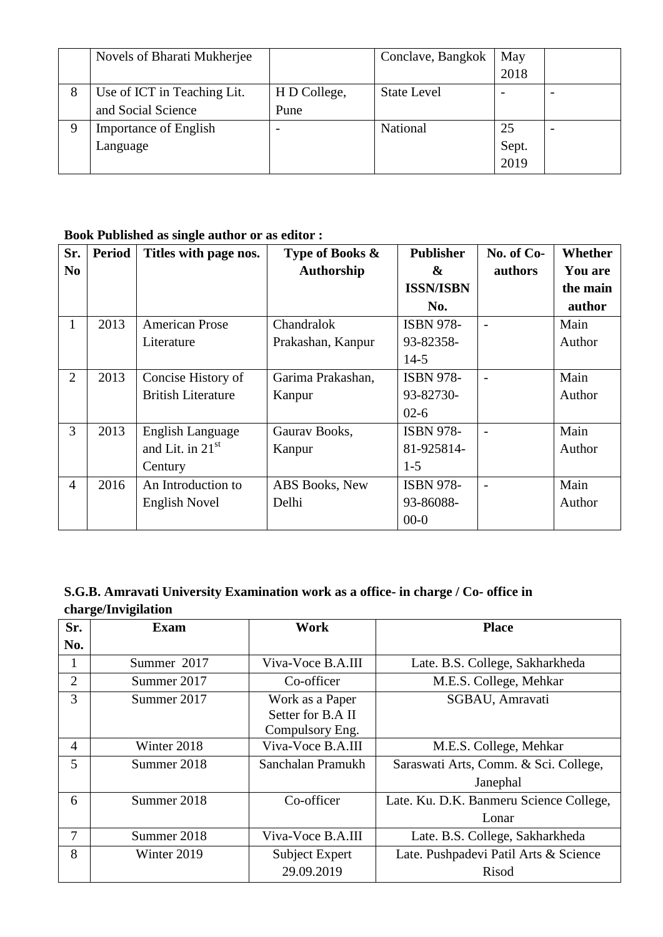|   | Novels of Bharati Mukherjee  |              | Conclave, Bangkok  | May   |  |
|---|------------------------------|--------------|--------------------|-------|--|
|   |                              |              |                    | 2018  |  |
| 8 | Use of ICT in Teaching Lit.  | H D College, | <b>State Level</b> |       |  |
|   | and Social Science           | Pune         |                    |       |  |
|   | <b>Importance of English</b> |              | National           | 25    |  |
|   | Language                     |              |                    | Sept. |  |
|   |                              |              |                    | 2019  |  |

### **Book Published as single author or as editor :**

| Sr.            | <b>Period</b> | Titles with page nos.        | Type of Books &   | <b>Publisher</b>  | No. of Co- | <b>Whether</b> |
|----------------|---------------|------------------------------|-------------------|-------------------|------------|----------------|
| N <sub>0</sub> |               |                              | <b>Authorship</b> | $\boldsymbol{\&}$ | authors    | <b>You are</b> |
|                |               |                              |                   | <b>ISSN/ISBN</b>  |            | the main       |
|                |               |                              |                   | No.               |            | author         |
| 1              | 2013          | <b>American Prose</b>        | Chandralok        | <b>ISBN 978-</b>  |            | Main           |
|                |               | Literature                   | Prakashan, Kanpur | 93-82358-         |            | Author         |
|                |               |                              |                   | $14-5$            |            |                |
| $\overline{2}$ | 2013          | Concise History of           | Garima Prakashan, | <b>ISBN 978-</b>  |            | Main           |
|                |               | <b>British Literature</b>    | Kanpur            | 93-82730-         |            | Author         |
|                |               |                              |                   | $02-6$            |            |                |
| 3              | 2013          | English Language             | Gaurav Books,     | <b>ISBN 978-</b>  |            | Main           |
|                |               | and Lit. in 21 <sup>st</sup> | Kanpur            | 81-925814-        |            | Author         |
|                |               | Century                      |                   | $1-5$             |            |                |
| 4              | 2016          | An Introduction to           | ABS Books, New    | <b>ISBN 978-</b>  |            | Main           |
|                |               | English Novel                | Delhi             | 93-86088-         |            | Author         |
|                |               |                              |                   | $00-0$            |            |                |

## **S.G.B. Amravati University Examination work as a office- in charge / Co- office in charge/Invigilation**

| Sr.            | Exam        | Work                  | <b>Place</b>                            |
|----------------|-------------|-----------------------|-----------------------------------------|
| No.            |             |                       |                                         |
|                | Summer 2017 | Viva-Voce B.A.III     | Late. B.S. College, Sakharkheda         |
| $\overline{2}$ | Summer 2017 | Co-officer            | M.E.S. College, Mehkar                  |
| 3              | Summer 2017 | Work as a Paper       | SGBAU, Amravati                         |
|                |             | Setter for B.A II     |                                         |
|                |             | Compulsory Eng.       |                                         |
| $\overline{4}$ | Winter 2018 | Viva-Voce B.A.III     | M.E.S. College, Mehkar                  |
| 5              | Summer 2018 | Sanchalan Pramukh     | Saraswati Arts, Comm. & Sci. College,   |
|                |             |                       | Janephal                                |
| 6              | Summer 2018 | Co-officer            | Late. Ku. D.K. Banmeru Science College, |
|                |             |                       | Lonar                                   |
| 7              | Summer 2018 | Viva-Voce B.A.III     | Late. B.S. College, Sakharkheda         |
| 8              | Winter 2019 | <b>Subject Expert</b> | Late. Pushpadevi Patil Arts & Science   |
|                |             | 29.09.2019            | Risod                                   |